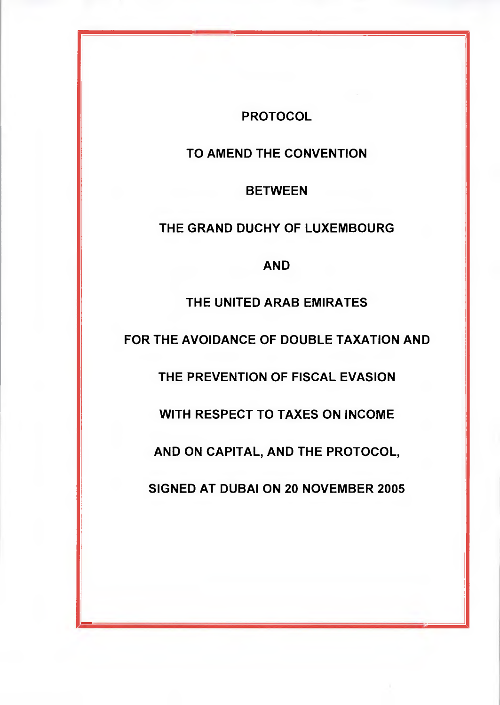# **PROTOCOL**

# **TO AMEND THE CONVENTION**

### **BETWEEN**

# **THE GRAND DUCHY OF LUXEMBOURG**

## **AND**

## **THE UNITED ARAB EMIRATES**

**FOR THE AVOIDANCE OF DOUBLE TAXATION AND** 

**THE PREVENTION OF FISCAL EVASION** 

**WITH RESPECT TO TAXES ON INCOME** 

**AND ON CAPITAL, AND THE PROTOCOL,** 

**SIGNED AT DUBAI ON 20 NOVEMBER 2005** 

4.1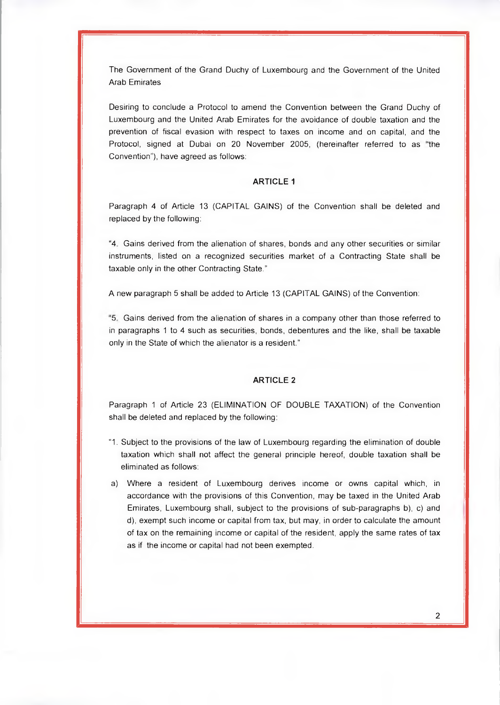The Government of the Grand Duchy of Luxembourg and the Government of the United Arab Emirates

Desiring to conclude a Protocol to amend the Convention between the Grand Duchy of Luxembourg and the United Arab Emirates for the avoidance of double taxation and the prevention of fiscal evasion with respect to taxes on income and on capital, and the Protocol, signed at Dubai on 20 November 2005, (hereinafter referred to as "the Convention"), have agreed as follows:

#### **ARTICLE 1**

Paragraph 4 of Article 13 (CAPITAL GAINS) of the Convention shall be deleted and replaced by the following:

4. Gains derived from the alienation of shares, bonds and any other securities or similar instruments, listed on a recognized securities market of a Contracting State shall be taxable only in the other Contracting State."

A new paragraph 5 shall be added to Article 13 (CAPITAL GAINS) of the Convention:

5. Gains derived from the alienation of shares in a company other than those referred to in paragraphs 1 to 4 such as securities, bonds, debentures and the like, shall be taxable only in the State of which the alienator is a resident."

#### **ARTICLE 2**

Paragraph 1 of Article 23 (ELIMINATION OF DOUBLE TAXATION) of the Convention shall be deleted and replaced by the following:

- 1. Subject to the provisions of the law of Luxembourg regarding the elimination of double taxation which shall not affect the general principle hereof, double taxation shall be eliminated as follows:
- a) Where a resident of Luxembourg derives income or owns capital which, in accordance with the provisions of this Convention, may be taxed in the United Arab Emirates, Luxembourg shall, subject to the provisions of sub-paragraphs b), c) and d), exempt such income or capital from tax, but may, in order to calculate the amount of tax on the remaining income or capital of the resident, apply the same rates of tax as if the income or capital had not been exempted.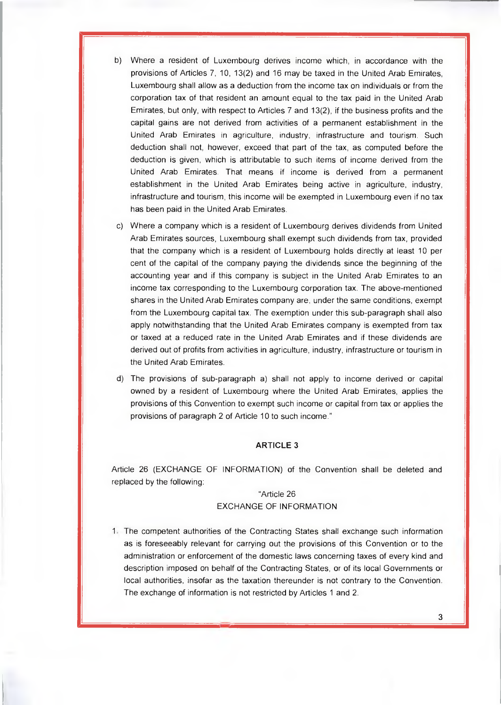- b) Where a resident of Luxembourg derives income which, in accordance with the provisions of Articles 7, 10, 13(2) and 16 may be taxed in the United Arab Emirates, Luxembourg shall allow as a deduction from the income tax on individuals or from the corporation tax of that resident an amount equal to the tax paid in the United Arab Emirates, but only, with respect to Articles 7 and 13(2), if the business profits and the capital gains are not derived from activities of a permanent establishment in the United Arab Emirates in agriculture, industry, infrastructure and tourism. Such deduction shall not, however, exceed that part of the tax, as computed before the deduction is given, which is attributable to such items of income derived from the United Arab Emirates. That means if income is derived from a permanent establishment in the United Arab Emirates being active in agriculture, industry, infrastructure and tourism, this income will be exempted in Luxembourg even if no tax has been paid in the United Arab Emirates.
- c) Where a company which is a resident of Luxembourg derives dividends from United Arab Emirates sources, Luxembourg shall exempt such dividends from tax, provided that the company which is a resident of Luxembourg holds directly at least 10 per cent of the capital of the company paying the dividends since the beginning of the accounting year and if this company is subject in the United Arab Emirates to an income tax corresponding to the Luxembourg corporation tax. The above-mentioned shares in the United Arab Emirates company are, under the same conditions, exempt from the Luxembourg capital tax. The exemption under this sub-paragraph shall also apply notwithstanding that the United Arab Emirates company is exempted from tax or taxed at a reduced rate in the United Arab Emirates and if these dividends are derived out of profits from activities in agriculture, industry, infrastructure or tourism in the United Arab Emirates.
- d) The provisions of sub-paragraph a) shall not apply to income derived or capital owned by a resident of Luxembourg where the United Arab Emirates, applies the provisions of this Convention to exempt such income or capital from tax or applies the provisions of paragraph 2 of Article 10 to such income."

#### **ARTICLE 3**

Article 26 (EXCHANGE OF INFORMATION) of the Convention shall be deleted and replaced by the following:

#### "Article 26

### EXCHANGE OF INFORMATION

1 The competent authorities of the Contracting States shall exchange such information as is foreseeably relevant for carrying out the provisions of this Convention or to the administration or enforcement of the domestic laws concerning taxes of every kind and description imposed on behalf of the Contracting States, or of its local Governments or local authorities, insofar as the taxation thereunder is not contrary to the Convention. The exchange of information is not restricted by Articles 1 and 2.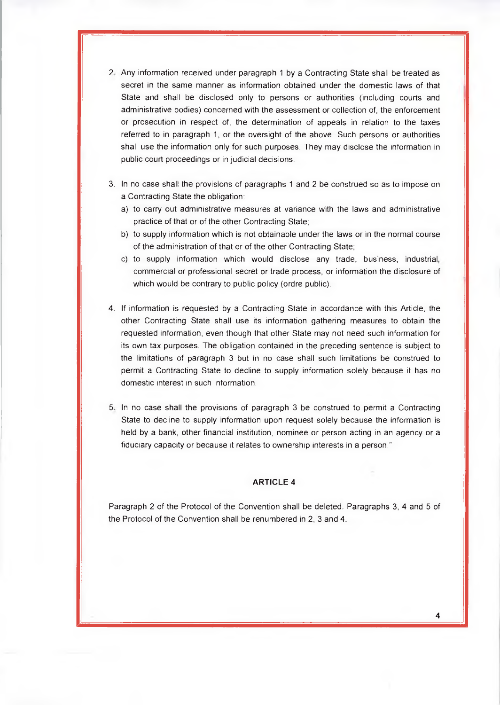- 2 Any information received under paragraph 1 by a Contracting State shall be treated as secret in the same manner as information obtained under the domestic laws of that State and shall be disclosed only to persons or authorities (including courts and administrative bodies) concerned with the assessment or collection of, the enforcement or prosecution in respect of, the determination of appeals in relation to the taxes referred to in paragraph 1, or the oversight of the above. Such persons or authorities shall use the information only for such purposes. They may disclose the information in public court proceedings or in judicial decisions.
- 3. In no case shall the provisions of paragraphs 1 and 2 be construed so as to impose on a Contracting State the obligation:
	- a) to carry out administrative measures at variance with the laws and administrative practice of that or of the other Contracting State;
	- b) to supply information which is not obtainable under the laws or in the normal course of the administration of that or of the other Contracting State;
	- c) to supply information which would disclose any trade, business, industrial, commercial or professional secret or trade process, or information the disclosure of which would be contrary to public policy (ordre public).
- 4. If information is requested by a Contracting State in accordance with this Article, the other Contracting State shall use its information gathering measures to obtain the requested information, even though that other State may not need such information for its own tax purposes. The obligation contained in the preceding sentence is subject to the limitations of paragraph 3 but in no case shall such limitations be construed to permit a Contracting State to decline to supply information solely because it has no domestic interest in such information.
- 5. In no case shall the provisions of paragraph 3 be construed to permit a Contracting State to decline to supply information upon request solely because the information is held by a bank, other financial institution, nominee or person acting in an agency or a fiduciary capacity or because it relates to ownership interests in a person."

#### **ARTICLE 4**

Paragraph 2 of the Protocol of the Convention shall be deleted. Paragraphs 3, 4 and 5 of the Protocol of the Convention shall be renumbered in 2, 3 and 4.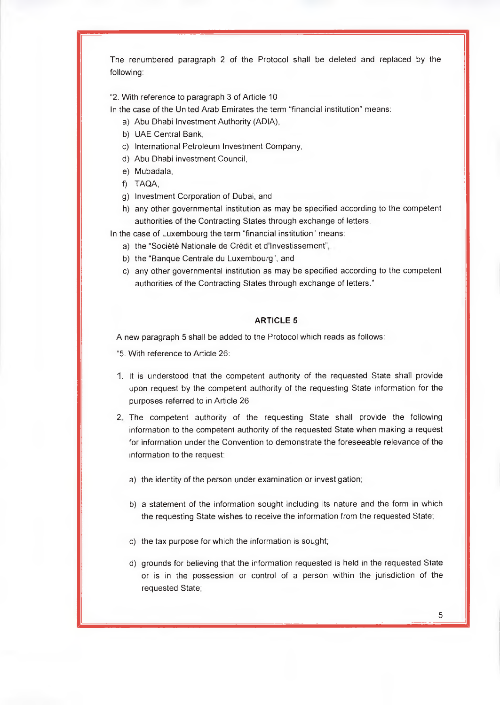The renumbered paragraph 2 of the Protocol shall be deleted and replaced by the following:

2. With reference to paragraph 3 of Article 10

In the case of the United Arab Emirates the term "financial institution" means:

- a) Abu Dhabi Investment Authority (ADIA),
- b) UAE Central Bank,
- c) International Petroleum Investment Company,
- d) Abu Dhabi investment Council,
- e) Mubadala,
- f) TAQA,
- g) Investment Corporation of Dubai, and
- h) any other governmental institution as may be specified according to the competent authorities of the Contracting States through exchange of letters.
- In the case of Luxembourg the term "financial institution" means:
	- a) the "Société Nationale de Crédit et d'Investissement",
	- b) the "Banque Centrale du Luxembourg", and
	- c) any other governmental institution as may be specified according to the competent authorities of the Contracting States through exchange of letters."

#### **ARTICLE 5**

A new paragraph 5 shall be added to the Protocol which reads as follows:

- 5. With reference to Article 26:
- 1. It is understood that the competent authority of the requested State shall provide upon request by the competent authority of the requesting State information for the purposes referred to in Article 26.
- 2. The competent authority of the requesting State shall provide the following information to the competent authority of the requested State when making a request for information under the Convention to demonstrate the foreseeable relevance of the information to the request:
	- a) the identity of the person under examination or investigation;
	- b) a statement of the information sought including its nature and the form in which the requesting State wishes to receive the information from the requested State;
	- c) the tax purpose for which the information is sought;
	- d) grounds for believing that the information requested is held in the requested State or is in the possession or control of a person within the jurisdiction of the requested State;